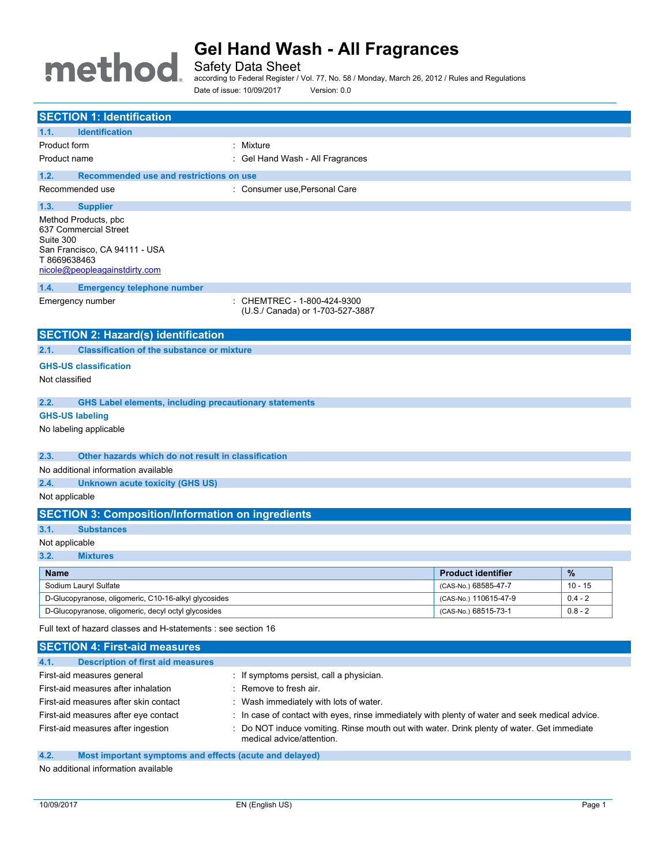# **Gel Hand Wash - All Fragrances** method.

Safety Data Sheet

according to Federal Register / Vol. 77, No. 58 / Monday, March 26, 2012 / Rules and Regulations Date of issue: 10/09/2017 Version: 0.0

| <b>SECTION 1: Identification</b>                                                                                                            |                                                                 |                           |           |
|---------------------------------------------------------------------------------------------------------------------------------------------|-----------------------------------------------------------------|---------------------------|-----------|
| <b>Identification</b><br>1.1.                                                                                                               |                                                                 |                           |           |
| Product form                                                                                                                                | : Mixture                                                       |                           |           |
| Product name                                                                                                                                | : Gel Hand Wash - All Fragrances                                |                           |           |
| Recommended use and restrictions on use<br>1.2.                                                                                             |                                                                 |                           |           |
| Recommended use                                                                                                                             | : Consumer use, Personal Care                                   |                           |           |
| 1.3.<br><b>Supplier</b>                                                                                                                     |                                                                 |                           |           |
| Method Products, pbc<br>637 Commercial Street<br>Suite 300<br>San Francisco, CA 94111 - USA<br>T8669638463<br>nicole@peopleagainstdirty.com |                                                                 |                           |           |
| 1.4.<br><b>Emergency telephone number</b>                                                                                                   |                                                                 |                           |           |
| Emergency number                                                                                                                            | : CHEMTREC - 1-800-424-9300<br>(U.S./ Canada) or 1-703-527-3887 |                           |           |
| <b>SECTION 2: Hazard(s) identification</b>                                                                                                  |                                                                 |                           |           |
| <b>Classification of the substance or mixture</b><br>2.1.                                                                                   |                                                                 |                           |           |
| <b>GHS-US classification</b>                                                                                                                |                                                                 |                           |           |
| Not classified                                                                                                                              |                                                                 |                           |           |
|                                                                                                                                             |                                                                 |                           |           |
| 2.2.<br><b>GHS Label elements, including precautionary statements</b>                                                                       |                                                                 |                           |           |
| <b>GHS-US labeling</b>                                                                                                                      |                                                                 |                           |           |
| No labeling applicable                                                                                                                      |                                                                 |                           |           |
| 2.3.<br>Other hazards which do not result in classification                                                                                 |                                                                 |                           |           |
| No additional information available                                                                                                         |                                                                 |                           |           |
| 2.4.<br><b>Unknown acute toxicity (GHS US)</b>                                                                                              |                                                                 |                           |           |
| Not applicable                                                                                                                              |                                                                 |                           |           |
| <b>SECTION 3: Composition/Information on ingredients</b>                                                                                    |                                                                 |                           |           |
| 3.1.<br><b>Substances</b>                                                                                                                   |                                                                 |                           |           |
| Not applicable                                                                                                                              |                                                                 |                           |           |
| 3.2.<br><b>Mixtures</b>                                                                                                                     |                                                                 |                           |           |
| <b>Name</b>                                                                                                                                 |                                                                 | <b>Product identifier</b> | $\%$      |
| Sodium Lauryl Sulfate                                                                                                                       |                                                                 | (CAS-No.) 68585-47-7      | $10 - 15$ |
| D-Glucopyranose, oligomeric, C10-16-alkyl glycosides                                                                                        |                                                                 | (CAS-No.) 110615-47-9     | $0.4 - 2$ |
| D-Glucopyranose, oligomeric, decyl octyl glycosides<br>(CAS-No.) 68515-73-1<br>$0.8 - 2$                                                    |                                                                 |                           |           |
| Full text of hazard classes and H-statements : see section 16                                                                               |                                                                 |                           |           |
| <b>SECTION 4: First-aid measures</b>                                                                                                        |                                                                 |                           |           |
| 4.1.<br><b>Description of first aid measures</b>                                                                                            |                                                                 |                           |           |
| First-aid measures general                                                                                                                  | : If symptoms persist, call a physician.                        |                           |           |

- First-aid measures after inhalation : Remove to fresh air.
- First-aid measures after skin contact : Wash immediately with lots of water.
- First-aid measures after eye contact : In case of contact with eyes, rinse immediately with plenty of water and seek medical advice.
- First-aid measures after ingestion : Do NOT induce vomiting. Rinse mouth out with water. Drink plenty of water. Get immediate medical advice/attention.

#### **4.2. Most important symptoms and effects (acute and delayed)**

No additional information available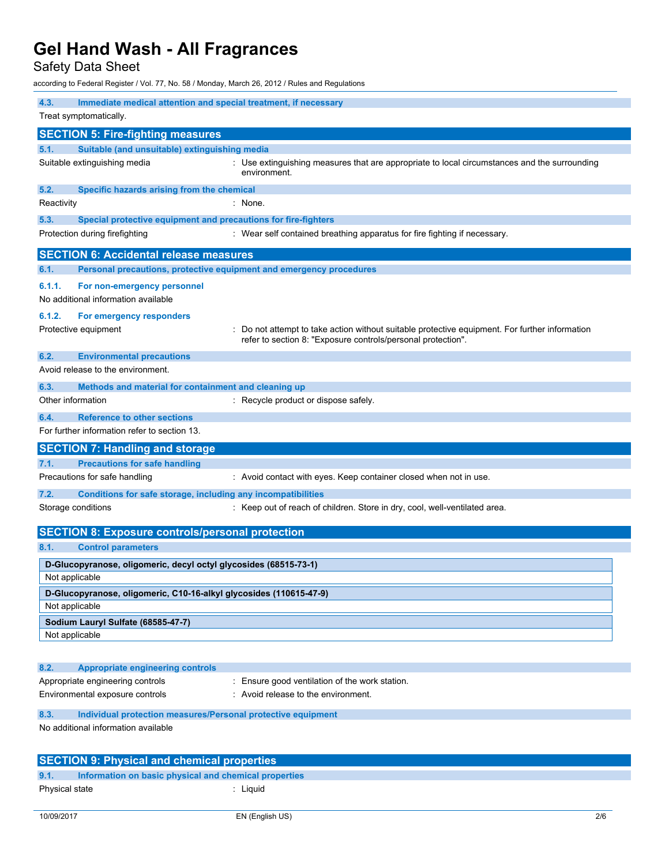## Safety Data Sheet

according to Federal Register / Vol. 77, No. 58 / Monday, March 26, 2012 / Rules and Regulations

| 4.3.<br>Treat symptomatically.                                               | Immediate medical attention and special treatment, if necessary                                                                                              |  |  |  |
|------------------------------------------------------------------------------|--------------------------------------------------------------------------------------------------------------------------------------------------------------|--|--|--|
| <b>SECTION 5: Fire-fighting measures</b>                                     |                                                                                                                                                              |  |  |  |
| 5.1.                                                                         | Suitable (and unsuitable) extinguishing media                                                                                                                |  |  |  |
| Suitable extinguishing media                                                 | : Use extinguishing measures that are appropriate to local circumstances and the surrounding<br>environment.                                                 |  |  |  |
| 5.2.                                                                         | Specific hazards arising from the chemical                                                                                                                   |  |  |  |
| Reactivity                                                                   | : None.                                                                                                                                                      |  |  |  |
| 5.3.                                                                         | Special protective equipment and precautions for fire-fighters                                                                                               |  |  |  |
| Protection during firefighting                                               | : Wear self contained breathing apparatus for fire fighting if necessary.                                                                                    |  |  |  |
| <b>SECTION 6: Accidental release measures</b>                                |                                                                                                                                                              |  |  |  |
| 6.1.                                                                         | Personal precautions, protective equipment and emergency procedures                                                                                          |  |  |  |
| 6.1.1.<br>For non-emergency personnel<br>No additional information available |                                                                                                                                                              |  |  |  |
| 6.1.2.<br>For emergency responders                                           |                                                                                                                                                              |  |  |  |
| Protective equipment                                                         | Do not attempt to take action without suitable protective equipment. For further information<br>refer to section 8: "Exposure controls/personal protection". |  |  |  |
| 6.2.<br><b>Environmental precautions</b>                                     |                                                                                                                                                              |  |  |  |
| Avoid release to the environment.                                            |                                                                                                                                                              |  |  |  |
| 6.3.                                                                         | Methods and material for containment and cleaning up                                                                                                         |  |  |  |
| Other information                                                            | : Recycle product or dispose safely.                                                                                                                         |  |  |  |
| <b>Reference to other sections</b><br>6.4.                                   |                                                                                                                                                              |  |  |  |
| For further information refer to section 13.                                 |                                                                                                                                                              |  |  |  |
| <b>SECTION 7: Handling and storage</b>                                       |                                                                                                                                                              |  |  |  |
| <b>Precautions for safe handling</b><br>7.1.                                 |                                                                                                                                                              |  |  |  |
| Precautions for safe handling                                                | : Avoid contact with eyes. Keep container closed when not in use.                                                                                            |  |  |  |
| 7.2.                                                                         | Conditions for safe storage, including any incompatibilities                                                                                                 |  |  |  |
| Storage conditions                                                           | : Keep out of reach of children. Store in dry, cool, well-ventilated area.                                                                                   |  |  |  |
|                                                                              | <b>SECTION 8: Exposure controls/personal protection</b>                                                                                                      |  |  |  |
| 8.1.<br><b>Control parameters</b>                                            |                                                                                                                                                              |  |  |  |
| Not applicable                                                               | D-Glucopyranose, oligomeric, decyl octyl glycosides (68515-73-1)                                                                                             |  |  |  |
|                                                                              | D-Glucopyranose, oligomeric, C10-16-alkyl glycosides (110615-47-9)                                                                                           |  |  |  |
| Not applicable                                                               |                                                                                                                                                              |  |  |  |
| Sodium Lauryl Sulfate (68585-47-7)                                           |                                                                                                                                                              |  |  |  |
| Not applicable                                                               |                                                                                                                                                              |  |  |  |
|                                                                              |                                                                                                                                                              |  |  |  |
| 8.2.<br><b>Appropriate engineering controls</b>                              |                                                                                                                                                              |  |  |  |
| Appropriate engineering controls                                             | : Ensure good ventilation of the work station.                                                                                                               |  |  |  |
| Environmental exposure controls                                              | : Avoid release to the environment.                                                                                                                          |  |  |  |
| 8.3.                                                                         | Individual protection measures/Personal protective equipment                                                                                                 |  |  |  |
| No additional information available                                          |                                                                                                                                                              |  |  |  |
|                                                                              | <b>SECTION 9: Physical and chemical properties</b>                                                                                                           |  |  |  |

**9.1. Information on basic physical and chemical properties**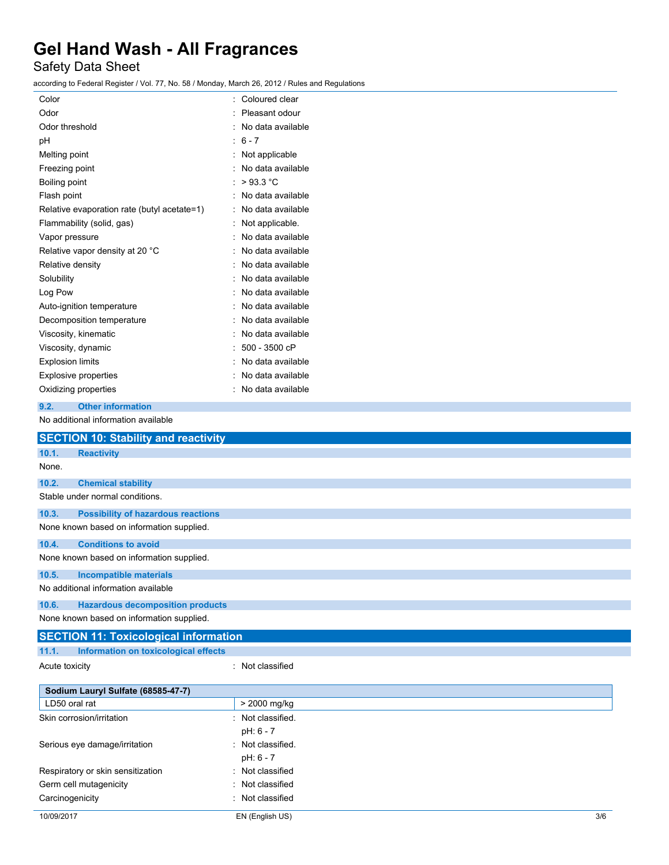## Safety Data Sheet

according to Federal Register / Vol. 77, No. 58 / Monday, March 26, 2012 / Rules and Regulations

| Color                                       | Coloured clear    |
|---------------------------------------------|-------------------|
| Odor                                        | Pleasant odour    |
| Odor threshold                              | No data available |
| рH                                          | : $6 - 7$         |
| Melting point                               | Not applicable    |
| Freezing point                              | No data available |
| Boiling point                               | >93.3 °C          |
| Flash point                                 | No data available |
| Relative evaporation rate (butyl acetate=1) | No data available |
| Flammability (solid, gas)                   | Not applicable.   |
| Vapor pressure                              | No data available |
| Relative vapor density at 20 °C             | No data available |
| Relative density                            | No data available |
| Solubility                                  | No data available |
| Log Pow                                     | No data available |
| Auto-ignition temperature                   | No data available |
| Decomposition temperature                   | No data available |
| Viscosity, kinematic                        | No data available |
| Viscosity, dynamic                          | $: 500 - 3500$ cP |
| <b>Explosion limits</b>                     | No data available |
| <b>Explosive properties</b>                 | No data available |
| Oxidizing properties                        | No data available |
|                                             |                   |

Acute toxicity **in the case of the CALC** in the classified in the classified **in the case of the case of the case of the case of the case of the case of the case of the case of the case of the case of the case of the case** 

#### **9.2. Other information**

No additional information available

|       | <b>SECTION 10: Stability and reactivity</b> |
|-------|---------------------------------------------|
| 10.1. | <b>Reactivity</b>                           |
| None. |                                             |
| 10.2. | <b>Chemical stability</b>                   |
|       | Stable under normal conditions.             |
| 10.3. | <b>Possibility of hazardous reactions</b>   |
|       | None known based on information supplied.   |
| 10.4. | <b>Conditions to avoid</b>                  |
|       | None known based on information supplied.   |
| 10.5. | <b>Incompatible materials</b>               |
|       | No additional information available         |
| 10.6. | <b>Hazardous decomposition products</b>     |
|       | None known based on information supplied.   |

## **SECTION 11: Toxicological information 11.1. Information on toxicological effects**

| Sodium Lauryl Sulfate (68585-47-7) |                   |     |
|------------------------------------|-------------------|-----|
| LD50 oral rat                      | > 2000 mg/kg      |     |
| Skin corrosion/irritation          | : Not classified. |     |
|                                    | pH: 6 - 7         |     |
| Serious eye damage/irritation      | : Not classified. |     |
|                                    | pH: 6 - 7         |     |
| Respiratory or skin sensitization  | : Not classified  |     |
| Germ cell mutagenicity             | : Not classified  |     |
| Carcinogenicity                    | : Not classified  |     |
| 10/09/2017                         | EN (English US)   | 3/6 |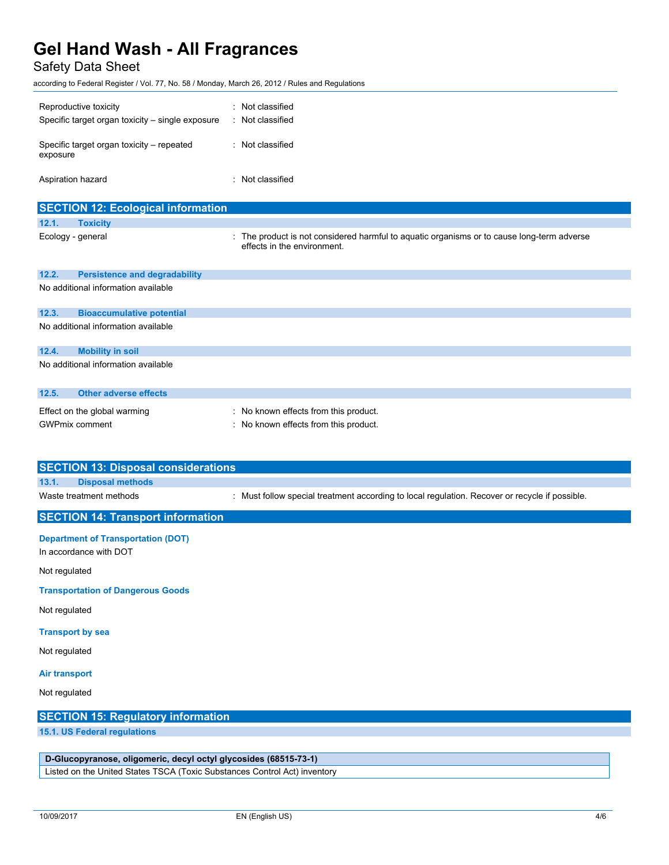## Safety Data Sheet

according to Federal Register / Vol. 77, No. 58 / Monday, March 26, 2012 / Rules and Regulations

| Reproductive toxicity<br>Specific target organ toxicity – single exposure | : Not classified<br>: Not classified |
|---------------------------------------------------------------------------|--------------------------------------|
| Specific target organ toxicity – repeated<br>exposure                     | : Not classified                     |
| Aspiration hazard                                                         | : Not classified                     |

|       | <b>SECTION 12: Ecological information</b> |                                                                                                                           |
|-------|-------------------------------------------|---------------------------------------------------------------------------------------------------------------------------|
| 12.1. | <b>Toxicity</b>                           |                                                                                                                           |
|       | Ecology - general                         | : The product is not considered harmful to aquatic organisms or to cause long-term adverse<br>effects in the environment. |
| 12.2. | <b>Persistence and degradability</b>      |                                                                                                                           |
|       | No additional information available       |                                                                                                                           |
| 12.3. | <b>Bioaccumulative potential</b>          |                                                                                                                           |
|       | No additional information available       |                                                                                                                           |
| 12.4. | <b>Mobility in soil</b>                   |                                                                                                                           |
|       | No additional information available       |                                                                                                                           |
| 12.5. | <b>Other adverse effects</b>              |                                                                                                                           |

| Effect on the global warming | : No known effects from this product. |
|------------------------------|---------------------------------------|
| <b>GWPmix comment</b>        | : No known effects from this product. |

| <b>SECTION 13: Disposal considerations</b>                          |                                                                                                |
|---------------------------------------------------------------------|------------------------------------------------------------------------------------------------|
| 13.1.<br><b>Disposal methods</b>                                    |                                                                                                |
| Waste treatment methods                                             | : Must follow special treatment according to local regulation. Recover or recycle if possible. |
| <b>SECTION 14: Transport information</b>                            |                                                                                                |
| <b>Department of Transportation (DOT)</b><br>In accordance with DOT |                                                                                                |
| Not regulated                                                       |                                                                                                |
| <b>Transportation of Dangerous Goods</b>                            |                                                                                                |

Not regulated

### **Transport by sea**

Not regulated

### **Air transport**

Not regulated

### **SECTION 15: Regulatory information**

**15.1. US Federal regulations**

### **D-Glucopyranose, oligomeric, decyl octyl glycosides (68515-73-1)**

Listed on the United States TSCA (Toxic Substances Control Act) inventory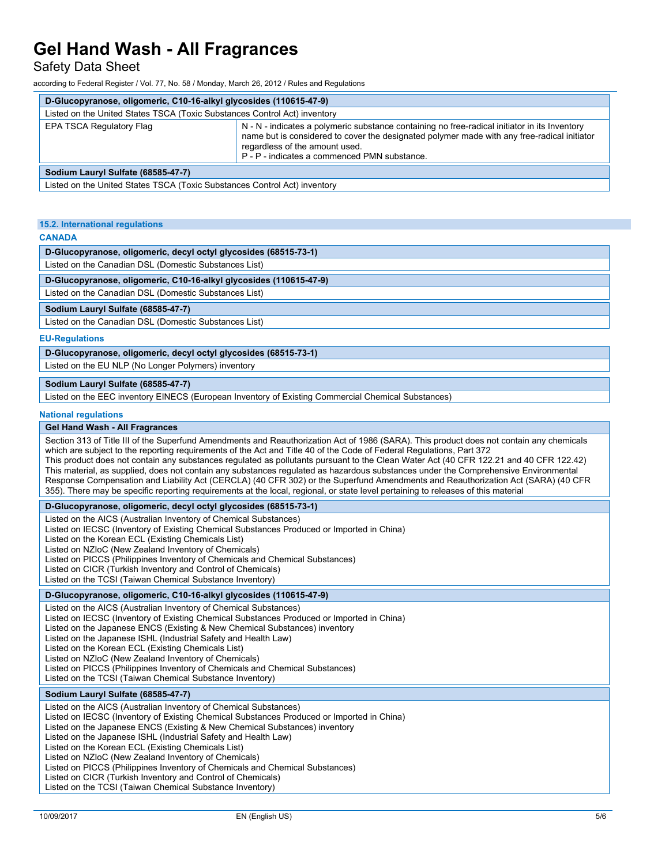### Safety Data Sheet

according to Federal Register / Vol. 77, No. 58 / Monday, March 26, 2012 / Rules and Regulations

| D-Glucopyranose, oligomeric, C10-16-alkyl glycosides (110615-47-9)        |                                                                                                                                                                                                                                                                                |  |
|---------------------------------------------------------------------------|--------------------------------------------------------------------------------------------------------------------------------------------------------------------------------------------------------------------------------------------------------------------------------|--|
| Listed on the United States TSCA (Toxic Substances Control Act) inventory |                                                                                                                                                                                                                                                                                |  |
| EPA TSCA Regulatory Flag                                                  | N - N - indicates a polymeric substance containing no free-radical initiator in its Inventory<br>name but is considered to cover the designated polymer made with any free-radical initiator<br>regardless of the amount used.<br>P - P - indicates a commenced PMN substance. |  |
| Sodium Lauryl Sulfate (68585-47-7)                                        |                                                                                                                                                                                                                                                                                |  |
| Listed on the United States TSCA (Toxic Substances Control Act) inventory |                                                                                                                                                                                                                                                                                |  |

#### **15.2. International regulations**

#### **CANADA**

**D-Glucopyranose, oligomeric, decyl octyl glycosides (68515-73-1)**

Listed on the Canadian DSL (Domestic Substances List)

**D-Glucopyranose, oligomeric, C10-16-alkyl glycosides (110615-47-9)**

Listed on the Canadian DSL (Domestic Substances List)

#### **Sodium Lauryl Sulfate (68585-47-7)**

Listed on the Canadian DSL (Domestic Substances List)

#### **EU-Regulations**

#### **D-Glucopyranose, oligomeric, decyl octyl glycosides (68515-73-1)**

Listed on the EU NLP (No Longer Polymers) inventory

#### **Sodium Lauryl Sulfate (68585-47-7)**

Listed on the EEC inventory EINECS (European Inventory of Existing Commercial Chemical Substances)

#### **National regulations**

#### **Gel Hand Wash - All Fragrances**

Section 313 of Title III of the Superfund Amendments and Reauthorization Act of 1986 (SARA). This product does not contain any chemicals which are subject to the reporting requirements of the Act and Title 40 of the Code of Federal Regulations, Part 372 This product does not contain any substances regulated as pollutants pursuant to the Clean Water Act (40 CFR 122.21 and 40 CFR 122.42) This material, as supplied, does not contain any substances regulated as hazardous substances under the Comprehensive Environmental Response Compensation and Liability Act (CERCLA) (40 CFR 302) or the Superfund Amendments and Reauthorization Act (SARA) (40 CFR 355). There may be specific reporting requirements at the local, regional, or state level pertaining to releases of this material

#### **D-Glucopyranose, oligomeric, decyl octyl glycosides (68515-73-1)**

Listed on the AICS (Australian Inventory of Chemical Substances) Listed on IECSC (Inventory of Existing Chemical Substances Produced or Imported in China) Listed on the Korean ECL (Existing Chemicals List) Listed on NZIoC (New Zealand Inventory of Chemicals) Listed on PICCS (Philippines Inventory of Chemicals and Chemical Substances) Listed on CICR (Turkish Inventory and Control of Chemicals) Listed on the TCSI (Taiwan Chemical Substance Inventory)

#### **D-Glucopyranose, oligomeric, C10-16-alkyl glycosides (110615-47-9)**

Listed on the AICS (Australian Inventory of Chemical Substances) Listed on IECSC (Inventory of Existing Chemical Substances Produced or Imported in China) Listed on the Japanese ENCS (Existing & New Chemical Substances) inventory Listed on the Japanese ISHL (Industrial Safety and Health Law) Listed on the Korean ECL (Existing Chemicals List) Listed on NZIoC (New Zealand Inventory of Chemicals) Listed on PICCS (Philippines Inventory of Chemicals and Chemical Substances) Listed on the TCSI (Taiwan Chemical Substance Inventory)

#### **Sodium Lauryl Sulfate (68585-47-7)**

Listed on the AICS (Australian Inventory of Chemical Substances) Listed on IECSC (Inventory of Existing Chemical Substances Produced or Imported in China) Listed on the Japanese ENCS (Existing & New Chemical Substances) inventory Listed on the Japanese ISHL (Industrial Safety and Health Law) Listed on the Korean ECL (Existing Chemicals List) Listed on NZIoC (New Zealand Inventory of Chemicals) Listed on PICCS (Philippines Inventory of Chemicals and Chemical Substances) Listed on CICR (Turkish Inventory and Control of Chemicals)

Listed on the TCSI (Taiwan Chemical Substance Inventory)